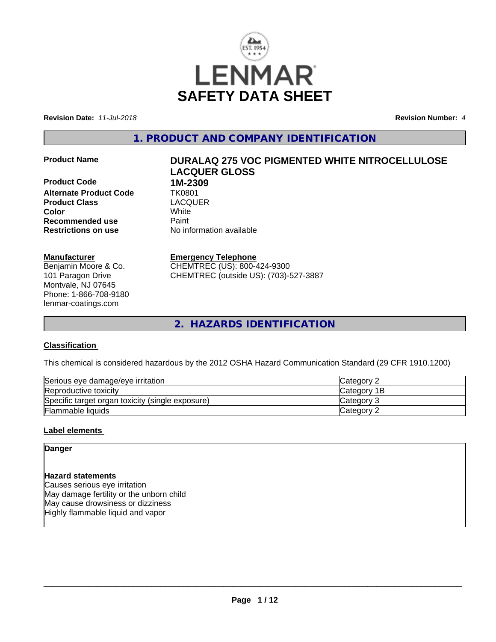

**Revision Date:** *11-Jul-2018* **Revision Number:** *4*

**1. PRODUCT AND COMPANY IDENTIFICATION**

**Product Code 1M-2309**<br>**Alternate Product Code 11K0801 Alternate Product Code TK0801<br>Product Class Code CACQUER Product Class Color** White **Recommended use** Paint **Restrictions on use** No information available

# **Manufacturer**

Benjamin Moore & Co. 101 Paragon Drive Montvale, NJ 07645 Phone: 1-866-708-9180 lenmar-coatings.com

# **Product Name DURALAQ 275 VOC PIGMENTED WHITE NITROCELLULOSE LACQUER GLOSS**

# **Emergency Telephone**

CHEMTREC (US): 800-424-9300 CHEMTREC (outside US): (703)-527-3887

**2. HAZARDS IDENTIFICATION**

# **Classification**

This chemical is considered hazardous by the 2012 OSHA Hazard Communication Standard (29 CFR 1910.1200)

| Serious eye damage/eye irritation                | <b>ICategory 2</b> |
|--------------------------------------------------|--------------------|
| Reproductive toxicity                            | <b>Category 1B</b> |
| Specific target organ toxicity (single exposure) | Category 3         |
| <b>Flammable liquids</b>                         | Category 2         |

### **Label elements**

**Danger**

### **Hazard statements**

Causes serious eye irritation May damage fertility or the unborn child May cause drowsiness or dizziness Highly flammable liquid and vapor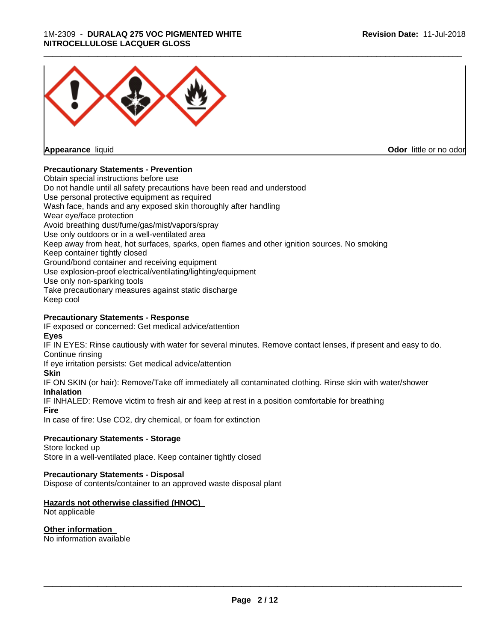#### 1M-2309 - **DURALAQ 275 VOC PIGMENTED WHITE NITROCELLULOSE LACQUER GLOSS**



**Appearance** liquid

**Odor** little or no odor

### **Precautionary Statements - Prevention**

Obtain special instructions before use Do not handle until all safety precautions have been read and understood Use personal protective equipment as required Wash face, hands and any exposed skin thoroughly after handling Wear eye/face protection Avoid breathing dust/fume/gas/mist/vapors/spray Use only outdoors or in a well-ventilated area Keep away from heat, hot surfaces, sparks, open flames and other ignition sources. No smoking Keep container tightly closed Ground/bond container and receiving equipment Use explosion-proof electrical/ventilating/lighting/equipment Use only non-sparking tools Take precautionary measures against static discharge Keep cool

# **Precautionary Statements - Response**

IF exposed or concerned: Get medical advice/attention **Eyes**

IF IN EYES: Rinse cautiously with water for several minutes. Remove contact lenses, if present and easy to do. Continue rinsing

If eye irritation persists: Get medical advice/attention

#### **Skin**

IF ON SKIN (or hair): Remove/Take off immediately all contaminated clothing. Rinse skin with water/shower **Inhalation**

IF INHALED: Remove victim to fresh air and keep at rest in a position comfortable for breathing

**Fire**

In case of fire: Use CO2, dry chemical, or foam for extinction

### **Precautionary Statements - Storage**

Store locked up Store in a well-ventilated place. Keep container tightly closed

**Precautionary Statements - Disposal**

Dispose of contents/container to an approved waste disposal plant

### **Hazards not otherwise classified (HNOC)**

Not applicable

**Other information** No information available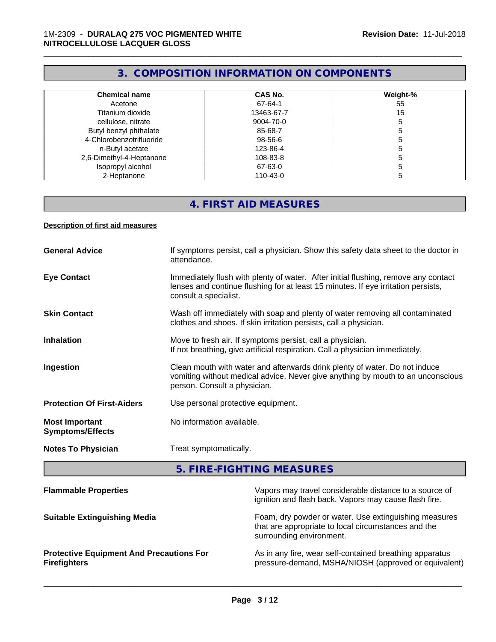# **3. COMPOSITION INFORMATION ON COMPONENTS**

\_\_\_\_\_\_\_\_\_\_\_\_\_\_\_\_\_\_\_\_\_\_\_\_\_\_\_\_\_\_\_\_\_\_\_\_\_\_\_\_\_\_\_\_\_\_\_\_\_\_\_\_\_\_\_\_\_\_\_\_\_\_\_\_\_\_\_\_\_\_\_\_\_\_\_\_\_\_\_\_\_\_\_\_\_\_\_\_\_\_\_\_\_

| <b>Chemical name</b>     | <b>CAS No.</b> | Weight-% |
|--------------------------|----------------|----------|
| Acetone                  | 67-64-1        | 55       |
| Titanium dioxide         | 13463-67-7     | 15       |
| cellulose, nitrate       | 9004-70-0      |          |
| Butyl benzyl phthalate   | 85-68-7        |          |
| 4-Chlorobenzotrifluoride | 98-56-6        |          |
| n-Butyl acetate          | 123-86-4       |          |
| 2,6-Dimethyl-4-Heptanone | 108-83-8       |          |
| Isopropyl alcohol        | 67-63-0        |          |
| 2-Heptanone              | 110-43-0       |          |

# **4. FIRST AID MEASURES**

#### **Description of first aid measures**

| <b>General Advice</b>                            | If symptoms persist, call a physician. Show this safety data sheet to the doctor in<br>attendance.                                                                                               |
|--------------------------------------------------|--------------------------------------------------------------------------------------------------------------------------------------------------------------------------------------------------|
| <b>Eye Contact</b>                               | Immediately flush with plenty of water. After initial flushing, remove any contact<br>lenses and continue flushing for at least 15 minutes. If eye irritation persists,<br>consult a specialist. |
| <b>Skin Contact</b>                              | Wash off immediately with soap and plenty of water removing all contaminated<br>clothes and shoes. If skin irritation persists, call a physician.                                                |
| <b>Inhalation</b>                                | Move to fresh air. If symptoms persist, call a physician.<br>If not breathing, give artificial respiration. Call a physician immediately.                                                        |
| Ingestion                                        | Clean mouth with water and afterwards drink plenty of water. Do not induce<br>vomiting without medical advice. Never give anything by mouth to an unconscious<br>person. Consult a physician.    |
| <b>Protection Of First-Aiders</b>                | Use personal protective equipment.                                                                                                                                                               |
| <b>Most Important</b><br><b>Symptoms/Effects</b> | No information available.                                                                                                                                                                        |
| <b>Notes To Physician</b>                        | Treat symptomatically.                                                                                                                                                                           |

**5. FIRE-FIGHTING MEASURES**

| Vapors may travel considerable distance to a source of<br>ignition and flash back. Vapors may cause flash fire.                          |
|------------------------------------------------------------------------------------------------------------------------------------------|
| Foam, dry powder or water. Use extinguishing measures<br>that are appropriate to local circumstances and the<br>surrounding environment. |
| As in any fire, wear self-contained breathing apparatus<br>pressure-demand, MSHA/NIOSH (approved or equivalent)                          |
|                                                                                                                                          |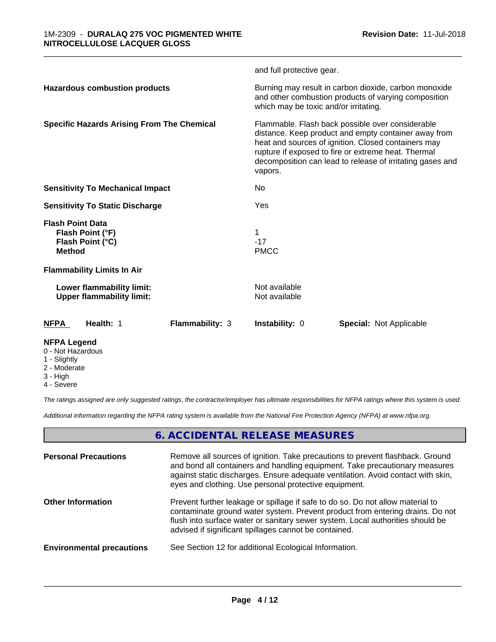|                                                                                  | and full protective gear.                                                                                                                                                                                                                                                                      |  |
|----------------------------------------------------------------------------------|------------------------------------------------------------------------------------------------------------------------------------------------------------------------------------------------------------------------------------------------------------------------------------------------|--|
| <b>Hazardous combustion products</b>                                             | Burning may result in carbon dioxide, carbon monoxide<br>and other combustion products of varying composition<br>which may be toxic and/or irritating.                                                                                                                                         |  |
| <b>Specific Hazards Arising From The Chemical</b>                                | Flammable. Flash back possible over considerable<br>distance. Keep product and empty container away from<br>heat and sources of ignition. Closed containers may<br>rupture if exposed to fire or extreme heat. Thermal<br>decomposition can lead to release of irritating gases and<br>vapors. |  |
| <b>Sensitivity To Mechanical Impact</b>                                          | No                                                                                                                                                                                                                                                                                             |  |
| <b>Sensitivity To Static Discharge</b>                                           | Yes                                                                                                                                                                                                                                                                                            |  |
| <b>Flash Point Data</b><br>Flash Point (°F)<br>Flash Point (°C)<br><b>Method</b> | $-17$<br><b>PMCC</b>                                                                                                                                                                                                                                                                           |  |
| <b>Flammability Limits In Air</b>                                                |                                                                                                                                                                                                                                                                                                |  |
| Lower flammability limit:<br><b>Upper flammability limit:</b>                    | Not available<br>Not available                                                                                                                                                                                                                                                                 |  |
| <b>NFPA</b><br>Health: 1<br><b>Flammability: 3</b>                               | <b>Instability: 0</b><br><b>Special: Not Applicable</b>                                                                                                                                                                                                                                        |  |
| <b>NFPA Legend</b>                                                               |                                                                                                                                                                                                                                                                                                |  |

\_\_\_\_\_\_\_\_\_\_\_\_\_\_\_\_\_\_\_\_\_\_\_\_\_\_\_\_\_\_\_\_\_\_\_\_\_\_\_\_\_\_\_\_\_\_\_\_\_\_\_\_\_\_\_\_\_\_\_\_\_\_\_\_\_\_\_\_\_\_\_\_\_\_\_\_\_\_\_\_\_\_\_\_\_\_\_\_\_\_\_\_\_

- 0 Not Hazardous
- 1 Slightly
- 2 Moderate
- 3 High
- 4 Severe

*The ratings assigned are only suggested ratings, the contractor/employer has ultimate responsibilities for NFPA ratings where this system is used.*

*Additional information regarding the NFPA rating system is available from the National Fire Protection Agency (NFPA) at www.nfpa.org.*

# **6. ACCIDENTAL RELEASE MEASURES**

| <b>Personal Precautions</b>      | Remove all sources of ignition. Take precautions to prevent flashback. Ground<br>and bond all containers and handling equipment. Take precautionary measures<br>against static discharges. Ensure adequate ventilation. Avoid contact with skin,<br>eyes and clothing. Use personal protective equipment.  |
|----------------------------------|------------------------------------------------------------------------------------------------------------------------------------------------------------------------------------------------------------------------------------------------------------------------------------------------------------|
| <b>Other Information</b>         | Prevent further leakage or spillage if safe to do so. Do not allow material to<br>contaminate ground water system. Prevent product from entering drains. Do not<br>flush into surface water or sanitary sewer system. Local authorities should be<br>advised if significant spillages cannot be contained. |
| <b>Environmental precautions</b> | See Section 12 for additional Ecological Information.                                                                                                                                                                                                                                                      |
|                                  |                                                                                                                                                                                                                                                                                                            |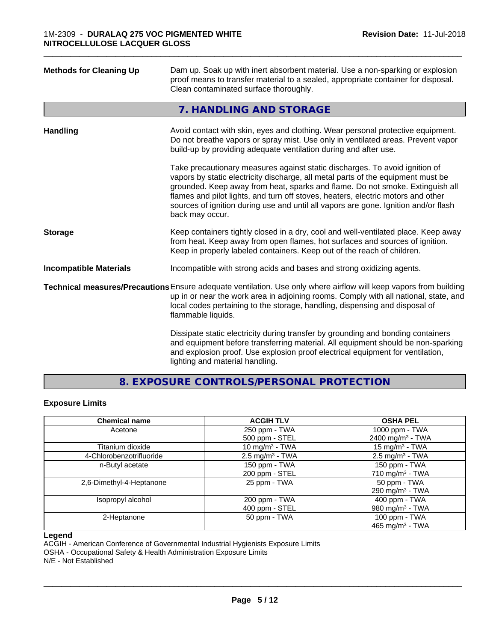| <b>Methods for Cleaning Up</b> | Dam up. Soak up with inert absorbent material. Use a non-sparking or explosion<br>proof means to transfer material to a sealed, appropriate container for disposal.<br>Clean contaminated surface thoroughly.                                                                                                                                                                                                                                  |
|--------------------------------|------------------------------------------------------------------------------------------------------------------------------------------------------------------------------------------------------------------------------------------------------------------------------------------------------------------------------------------------------------------------------------------------------------------------------------------------|
|                                | 7. HANDLING AND STORAGE                                                                                                                                                                                                                                                                                                                                                                                                                        |
| <b>Handling</b>                | Avoid contact with skin, eyes and clothing. Wear personal protective equipment.<br>Do not breathe vapors or spray mist. Use only in ventilated areas. Prevent vapor<br>build-up by providing adequate ventilation during and after use.                                                                                                                                                                                                        |
|                                | Take precautionary measures against static discharges. To avoid ignition of<br>vapors by static electricity discharge, all metal parts of the equipment must be<br>grounded. Keep away from heat, sparks and flame. Do not smoke. Extinguish all<br>flames and pilot lights, and turn off stoves, heaters, electric motors and other<br>sources of ignition during use and until all vapors are gone. Ignition and/or flash<br>back may occur. |
| <b>Storage</b>                 | Keep containers tightly closed in a dry, cool and well-ventilated place. Keep away<br>from heat. Keep away from open flames, hot surfaces and sources of ignition.<br>Keep in properly labeled containers. Keep out of the reach of children.                                                                                                                                                                                                  |
| <b>Incompatible Materials</b>  | Incompatible with strong acids and bases and strong oxidizing agents.                                                                                                                                                                                                                                                                                                                                                                          |
|                                | Technical measures/Precautions Ensure adequate ventilation. Use only where airflow will keep vapors from building<br>up in or near the work area in adjoining rooms. Comply with all national, state, and<br>local codes pertaining to the storage, handling, dispensing and disposal of<br>flammable liquids.                                                                                                                                 |
|                                | Dissipate static electricity during transfer by grounding and bonding containers<br>and equipment before transferring material. All equipment should be non-sparking<br>and explosion proof. Use explosion proof electrical equipment for ventilation,<br>lighting and material handling.                                                                                                                                                      |

**8. EXPOSURE CONTROLS/PERSONAL PROTECTION**

#### **Exposure Limits**

| <b>Chemical name</b>     | <b>ACGIH TLV</b>           | <b>OSHA PEL</b>              |
|--------------------------|----------------------------|------------------------------|
| Acetone                  | 250 ppm - TWA              | 1000 ppm - TWA               |
|                          | 500 ppm - STEL             | 2400 mg/m <sup>3</sup> - TWA |
| Titanium dioxide         | 10 mg/m $3$ - TWA          | 15 mg/m $3$ - TWA            |
| 4-Chlorobenzotrifluoride | $2.5 \text{ mg/m}^3$ - TWA | $2.5 \text{ mg/m}^3$ - TWA   |
| n-Butyl acetate          | 150 ppm - TWA              | 150 ppm - TWA                |
|                          | 200 ppm - STEL             | 710 mg/m $3$ - TWA           |
| 2,6-Dimethyl-4-Heptanone | 25 ppm - TWA               | 50 ppm - TWA                 |
|                          |                            | 290 mg/m $3$ - TWA           |
| Isopropyl alcohol        | 200 ppm - TWA              | 400 ppm - TWA                |
|                          | 400 ppm - STEL             | 980 mg/m <sup>3</sup> - TWA  |
| 2-Heptanone              | 50 ppm - TWA               | 100 ppm - TWA                |
|                          |                            | 465 mg/m <sup>3</sup> - TWA  |

#### **Legend**

ACGIH - American Conference of Governmental Industrial Hygienists Exposure Limits

OSHA - Occupational Safety & Health Administration Exposure Limits

N/E - Not Established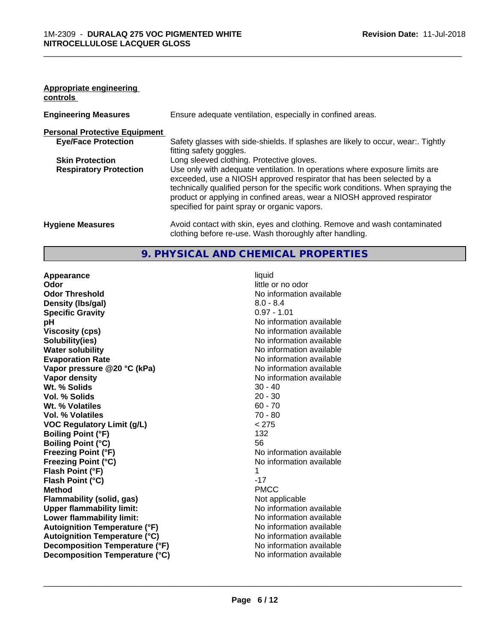### **Appropriate engineering controls**

| <b>Engineering Measures</b>          | Ensure adequate ventilation, especially in confined areas.                                                                                                                                                                                                                                                                                                          |
|--------------------------------------|---------------------------------------------------------------------------------------------------------------------------------------------------------------------------------------------------------------------------------------------------------------------------------------------------------------------------------------------------------------------|
| <b>Personal Protective Equipment</b> |                                                                                                                                                                                                                                                                                                                                                                     |
| <b>Eye/Face Protection</b>           | Safety glasses with side-shields. If splashes are likely to occur, wear:. Tightly<br>fitting safety goggles.                                                                                                                                                                                                                                                        |
| <b>Skin Protection</b>               | Long sleeved clothing. Protective gloves.                                                                                                                                                                                                                                                                                                                           |
| <b>Respiratory Protection</b>        | Use only with adequate ventilation. In operations where exposure limits are<br>exceeded, use a NIOSH approved respirator that has been selected by a<br>technically qualified person for the specific work conditions. When spraying the<br>product or applying in confined areas, wear a NIOSH approved respirator<br>specified for paint spray or organic vapors. |
| <b>Hygiene Measures</b>              | Avoid contact with skin, eyes and clothing. Remove and wash contaminated<br>clothing before re-use. Wash thoroughly after handling.                                                                                                                                                                                                                                 |

\_\_\_\_\_\_\_\_\_\_\_\_\_\_\_\_\_\_\_\_\_\_\_\_\_\_\_\_\_\_\_\_\_\_\_\_\_\_\_\_\_\_\_\_\_\_\_\_\_\_\_\_\_\_\_\_\_\_\_\_\_\_\_\_\_\_\_\_\_\_\_\_\_\_\_\_\_\_\_\_\_\_\_\_\_\_\_\_\_\_\_\_\_

# **9. PHYSICAL AND CHEMICAL PROPERTIES**

**Appearance** liquid **Odor** little or no odor<br> **Odor Threshold Containery of the Containery of the Containery of the Containery of the Containery of the Containery of the Containery of the Containery of the Containery of the Containery of th Density (Ibs/gal)** 8.0 - 8.4<br> **Specific Gravity** 8.0 - 8.4<br> **Specific Gravity Specific Gravity pH** No information available **Viscosity (cps)** No information available **Solubility(ies)** No information available in the solution of the solution of the solution available in the solution of the solution of the solution of the solution of the solution of the solution of the solution of the so **Water solubility** No information available **Evaporation Rate No information available No information available Vapor pressure @20 °C (kPa)** No information available **Vapor density No information available No information available Wt. % Solids** 30 - 40<br> **Vol. % Solids** 20 - 30 **Vol. % Solids** 20 - 30 **Wt. % Volatiles Vol. % Volatiles** 70 - 80 **VOC Regulatory Limit (g/L)** < 275 **Boiling Point (°F)** 132 **Boiling Point (°C)** 56 **Freezing Point (°F)** The state of the state of the Noinformation available **Freezing Point (°C)** The Company of the Monometer of Noinformation available **Flash Point (°F)** 1 **Flash Point (°C)** -17 **Method** PMCC **Flammability (solid, gas)**<br> **Consert Conservation Conservation Consert Consert Consert Consert Consert Consert Consert Consert Conservation Consert Conservation available Upper flammability limit:**<br> **Lower flammability limit:** No information available<br>
No information available **Lower flammability limit: Autoignition Temperature (°F)**<br> **Autoignition Temperature (°C)**<br> **Autoignition Temperature (°C)**<br>
Mo information available **Autoignition Temperature (°C) Decomposition Temperature (°F)** No information available **Decomposition Temperature (°C)** No information available

**No information available**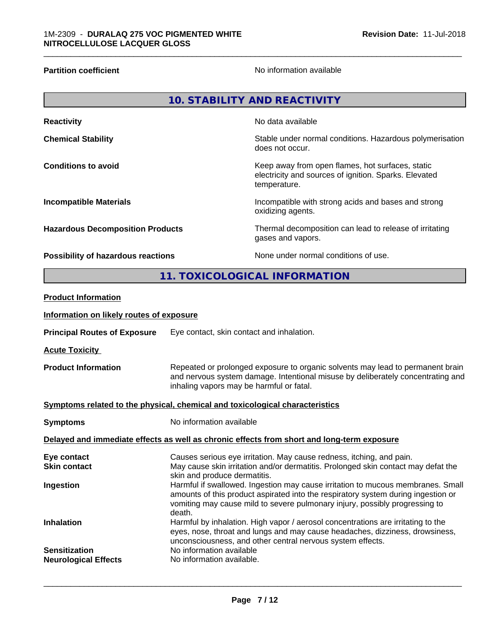**Partition coefficient CONSTRANS CONSTRANS No information available** 

\_\_\_\_\_\_\_\_\_\_\_\_\_\_\_\_\_\_\_\_\_\_\_\_\_\_\_\_\_\_\_\_\_\_\_\_\_\_\_\_\_\_\_\_\_\_\_\_\_\_\_\_\_\_\_\_\_\_\_\_\_\_\_\_\_\_\_\_\_\_\_\_\_\_\_\_\_\_\_\_\_\_\_\_\_\_\_\_\_\_\_\_\_

|                                                                              |                                                                                                                                                                                                               | <b>10. STABILITY AND REACTIVITY</b>                                                                                       |
|------------------------------------------------------------------------------|---------------------------------------------------------------------------------------------------------------------------------------------------------------------------------------------------------------|---------------------------------------------------------------------------------------------------------------------------|
| <b>Reactivity</b>                                                            |                                                                                                                                                                                                               | No data available                                                                                                         |
| <b>Chemical Stability</b>                                                    |                                                                                                                                                                                                               | Stable under normal conditions. Hazardous polymerisation<br>does not occur.                                               |
| <b>Conditions to avoid</b>                                                   |                                                                                                                                                                                                               | Keep away from open flames, hot surfaces, static<br>electricity and sources of ignition. Sparks. Elevated<br>temperature. |
| <b>Incompatible Materials</b>                                                |                                                                                                                                                                                                               | Incompatible with strong acids and bases and strong<br>oxidizing agents.                                                  |
| <b>Hazardous Decomposition Products</b>                                      |                                                                                                                                                                                                               | Thermal decomposition can lead to release of irritating<br>gases and vapors.                                              |
| Possibility of hazardous reactions                                           |                                                                                                                                                                                                               | None under normal conditions of use.                                                                                      |
|                                                                              |                                                                                                                                                                                                               | 11. TOXICOLOGICAL INFORMATION                                                                                             |
| <b>Product Information</b>                                                   |                                                                                                                                                                                                               |                                                                                                                           |
| Information on likely routes of exposure                                     |                                                                                                                                                                                                               |                                                                                                                           |
| <b>Principal Routes of Exposure</b>                                          | Eye contact, skin contact and inhalation.                                                                                                                                                                     |                                                                                                                           |
| <b>Acute Toxicity</b>                                                        |                                                                                                                                                                                                               |                                                                                                                           |
| <b>Product Information</b>                                                   | Repeated or prolonged exposure to organic solvents may lead to permanent brain<br>and nervous system damage. Intentional misuse by deliberately concentrating and<br>inhaling vapors may be harmful or fatal. |                                                                                                                           |
| Symptoms related to the physical, chemical and toxicological characteristics |                                                                                                                                                                                                               |                                                                                                                           |
| <b>Symptoms</b>                                                              | No information available                                                                                                                                                                                      |                                                                                                                           |
|                                                                              |                                                                                                                                                                                                               | Delayed and immediate effects as well as chronic effects from short and long-term exposure                                |

| Eye contact                                         | Causes serious eye irritation. May cause redness, itching, and pain.                                                                                                                                                                                          |
|-----------------------------------------------------|---------------------------------------------------------------------------------------------------------------------------------------------------------------------------------------------------------------------------------------------------------------|
| <b>Skin contact</b>                                 | May cause skin irritation and/or dermatitis. Prolonged skin contact may defat the<br>skin and produce dermatitis.                                                                                                                                             |
| Ingestion                                           | Harmful if swallowed. Ingestion may cause irritation to mucous membranes. Small<br>amounts of this product aspirated into the respiratory system during ingestion or<br>vomiting may cause mild to severe pulmonary injury, possibly progressing to<br>death. |
| <b>Inhalation</b>                                   | Harmful by inhalation. High vapor / aerosol concentrations are irritating to the<br>eyes, nose, throat and lungs and may cause headaches, dizziness, drowsiness,<br>unconsciousness, and other central nervous system effects.                                |
| <b>Sensitization</b><br><b>Neurological Effects</b> | No information available<br>No information available.                                                                                                                                                                                                         |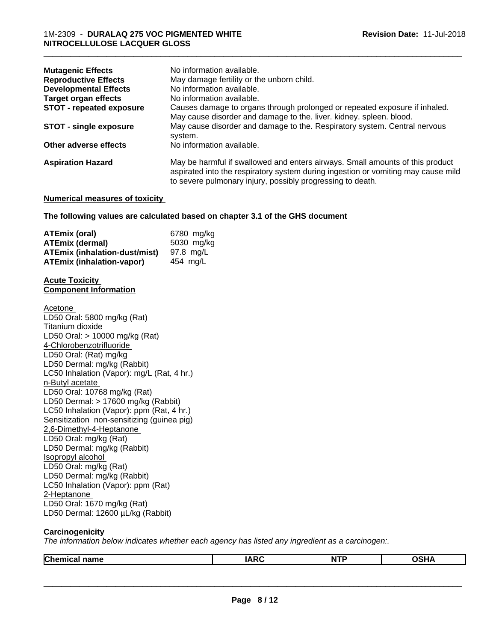| <b>Mutagenic Effects</b>        | No information available.                                                                                                                                                                                                        |
|---------------------------------|----------------------------------------------------------------------------------------------------------------------------------------------------------------------------------------------------------------------------------|
| <b>Reproductive Effects</b>     | May damage fertility or the unborn child.                                                                                                                                                                                        |
| <b>Developmental Effects</b>    | No information available.                                                                                                                                                                                                        |
| <b>Target organ effects</b>     | No information available.                                                                                                                                                                                                        |
| <b>STOT - repeated exposure</b> | Causes damage to organs through prolonged or repeated exposure if inhaled.<br>May cause disorder and damage to the. liver. kidney. spleen. blood.                                                                                |
| STOT - single exposure          | May cause disorder and damage to the. Respiratory system. Central nervous<br>system.                                                                                                                                             |
| Other adverse effects           | No information available.                                                                                                                                                                                                        |
| <b>Aspiration Hazard</b>        | May be harmful if swallowed and enters airways. Small amounts of this product<br>aspirated into the respiratory system during ingestion or vomiting may cause mild<br>to severe pulmonary injury, possibly progressing to death. |

\_\_\_\_\_\_\_\_\_\_\_\_\_\_\_\_\_\_\_\_\_\_\_\_\_\_\_\_\_\_\_\_\_\_\_\_\_\_\_\_\_\_\_\_\_\_\_\_\_\_\_\_\_\_\_\_\_\_\_\_\_\_\_\_\_\_\_\_\_\_\_\_\_\_\_\_\_\_\_\_\_\_\_\_\_\_\_\_\_\_\_\_\_

#### **Numerical measures of toxicity**

#### **The following values are calculated based on chapter 3.1 of the GHS document**

| ATEmix (oral)                        | 6780 mg/ka |
|--------------------------------------|------------|
| <b>ATEmix (dermal)</b>               | 5030 mg/kg |
| <b>ATEmix (inhalation-dust/mist)</b> | 97.8 ma/L  |
| <b>ATEmix (inhalation-vapor)</b>     | 454 ma/L   |

#### **Acute Toxicity Component Information**

Acetone LD50 Oral: 5800 mg/kg (Rat) Titanium dioxide LD50 Oral: > 10000 mg/kg (Rat) 4-Chlorobenzotrifluoride LD50 Oral: (Rat) mg/kg LD50 Dermal: mg/kg (Rabbit) LC50 Inhalation (Vapor): mg/L (Rat, 4 hr.) n-Butyl acetate LD50 Oral: 10768 mg/kg (Rat) LD50 Dermal: > 17600 mg/kg (Rabbit) LC50 Inhalation (Vapor): ppm (Rat, 4 hr.) Sensitization non-sensitizing (guinea pig) 2,6-Dimethyl-4-Heptanone LD50 Oral: mg/kg (Rat) LD50 Dermal: mg/kg (Rabbit) Isopropyl alcohol LD50 Oral: mg/kg (Rat) LD50 Dermal: mg/kg (Rabbit) LC50 Inhalation (Vapor): ppm (Rat) 2-Heptanone LD50 Oral: 1670 mg/kg (Rat) LD50 Dermal: 12600 µL/kg (Rabbit)

### **Carcinogenicity**

*The information below indicateswhether each agency has listed any ingredient as a carcinogen:.*

| <b>Chem</b><br>name<br>าเเ | $\overline{M}$<br>I A<br><b>INIV</b> | <b>NTF</b> | <br>''' |
|----------------------------|--------------------------------------|------------|---------|
|                            |                                      |            |         |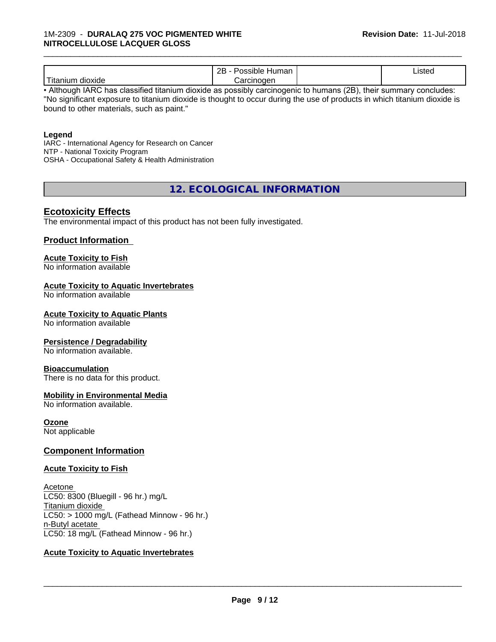|                          | - ספ<br>Humar<br>11 J I T<br>-- | 'Jstec<br>. |  |
|--------------------------|---------------------------------|-------------|--|
| .<br>Titaniun<br>dioxide | ∶arcınoɑen                      |             |  |

\_\_\_\_\_\_\_\_\_\_\_\_\_\_\_\_\_\_\_\_\_\_\_\_\_\_\_\_\_\_\_\_\_\_\_\_\_\_\_\_\_\_\_\_\_\_\_\_\_\_\_\_\_\_\_\_\_\_\_\_\_\_\_\_\_\_\_\_\_\_\_\_\_\_\_\_\_\_\_\_\_\_\_\_\_\_\_\_\_\_\_\_\_

• Although IARC has classified titanium dioxide as possibly carcinogenic to humans (2B), their summary concludes: "No significant exposure to titanium dioxide is thought to occur during the use of products in which titanium dioxide is bound to other materials, such as paint."

#### **Legend**

IARC - International Agency for Research on Cancer NTP - National Toxicity Program OSHA - Occupational Safety & Health Administration

**12. ECOLOGICAL INFORMATION**

# **Ecotoxicity Effects**

The environmental impact of this product has not been fully investigated.

#### **Product Information**

# **Acute Toxicity to Fish**

No information available

#### **Acute Toxicity to Aquatic Invertebrates**

No information available

#### **Acute Toxicity to Aquatic Plants**

No information available

#### **Persistence / Degradability**

No information available.

#### **Bioaccumulation**

There is no data for this product.

#### **Mobility in Environmental Media**

No information available.

#### **Ozone**

Not applicable

#### **Component Information**

#### **Acute Toxicity to Fish**

Acetone LC50: 8300 (Bluegill - 96 hr.) mg/L Titanium dioxide  $LC50:$  > 1000 mg/L (Fathead Minnow - 96 hr.) n-Butyl acetate LC50: 18 mg/L (Fathead Minnow - 96 hr.)

#### **Acute Toxicity to Aquatic Invertebrates**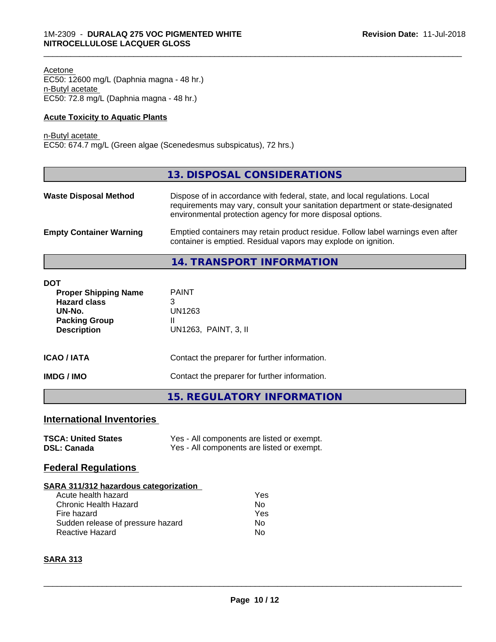Acetone EC50: 12600 mg/L (Daphnia magna - 48 hr.) n-Butyl acetate EC50: 72.8 mg/L (Daphnia magna - 48 hr.)

#### **Acute Toxicity to Aquatic Plants**

n-Butyl acetate

EC50: 674.7 mg/L (Green algae (Scenedesmus subspicatus), 72 hrs.)

|                                | 13. DISPOSAL CONSIDERATIONS                                                                                                                                                                                               |
|--------------------------------|---------------------------------------------------------------------------------------------------------------------------------------------------------------------------------------------------------------------------|
| <b>Waste Disposal Method</b>   | Dispose of in accordance with federal, state, and local regulations. Local<br>requirements may vary, consult your sanitation department or state-designated<br>environmental protection agency for more disposal options. |
| <b>Empty Container Warning</b> | Emptied containers may retain product residue. Follow label warnings even after<br>container is emptied. Residual vapors may explode on ignition.                                                                         |
|                                | 14. TRANSPORT INFORMATION                                                                                                                                                                                                 |

\_\_\_\_\_\_\_\_\_\_\_\_\_\_\_\_\_\_\_\_\_\_\_\_\_\_\_\_\_\_\_\_\_\_\_\_\_\_\_\_\_\_\_\_\_\_\_\_\_\_\_\_\_\_\_\_\_\_\_\_\_\_\_\_\_\_\_\_\_\_\_\_\_\_\_\_\_\_\_\_\_\_\_\_\_\_\_\_\_\_\_\_\_

| <b>DOT</b><br><b>Proper Shipping Name</b><br><b>Hazard class</b><br>UN-No.<br><b>Packing Group</b><br><b>Description</b> | <b>PAINT</b><br>3<br>UN1263<br>UN1263, PAINT, 3, II |  |
|--------------------------------------------------------------------------------------------------------------------------|-----------------------------------------------------|--|
| <b>ICAO / IATA</b>                                                                                                       | Contact the preparer for further information.       |  |
| <b>IMDG/IMO</b>                                                                                                          | Contact the preparer for further information.       |  |
|                                                                                                                          | <b>15. REGULATORY INFORMATION</b>                   |  |

# **International Inventories**

| <b>TSCA: United States</b> | Yes - All components are listed or exempt. |
|----------------------------|--------------------------------------------|
| <b>DSL: Canada</b>         | Yes - All components are listed or exempt. |

# **Federal Regulations**

#### **SARA 311/312 hazardous categorization**

| Acute health hazard               | Yes |
|-----------------------------------|-----|
| Chronic Health Hazard             | Nο  |
| Fire hazard                       | Yes |
| Sudden release of pressure hazard | Nο  |
| Reactive Hazard                   | N٥  |

# **SARA 313**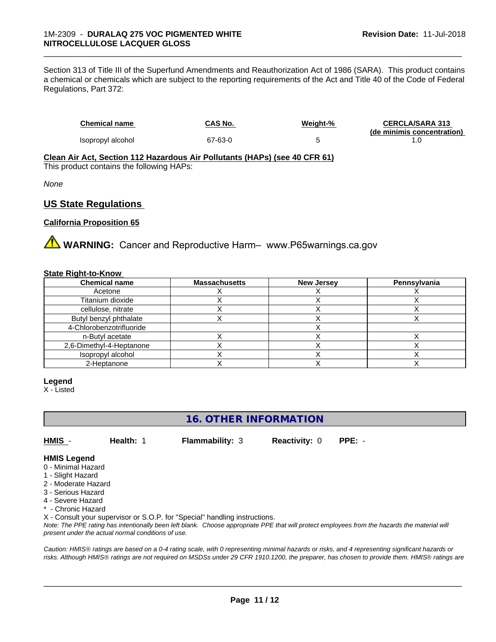Section 313 of Title III of the Superfund Amendments and Reauthorization Act of 1986 (SARA). This product contains a chemical or chemicals which are subject to the reporting requirements of the Act and Title 40 of the Code of Federal Regulations, Part 372:

| <b>Chemical name</b> | CAS No. | Weight-% | <b>CERCLA/SARA 313</b>     |
|----------------------|---------|----------|----------------------------|
|                      |         |          | (de minimis concentration) |
| Isopropyl alcohol    | 67-63-0 |          |                            |

\_\_\_\_\_\_\_\_\_\_\_\_\_\_\_\_\_\_\_\_\_\_\_\_\_\_\_\_\_\_\_\_\_\_\_\_\_\_\_\_\_\_\_\_\_\_\_\_\_\_\_\_\_\_\_\_\_\_\_\_\_\_\_\_\_\_\_\_\_\_\_\_\_\_\_\_\_\_\_\_\_\_\_\_\_\_\_\_\_\_\_\_\_

**Clean Air Act,Section 112 Hazardous Air Pollutants (HAPs) (see 40 CFR 61)** This product contains the following HAPs:

*None*

# **US State Regulations**

#### **California Proposition 65**

**A WARNING:** Cancer and Reproductive Harm– www.P65warnings.ca.gov

#### **State Right-to-Know**

| <b>Chemical name</b>     | <b>Massachusetts</b> | <b>New Jersey</b> | <b>Pennsylvania</b> |
|--------------------------|----------------------|-------------------|---------------------|
| Acetone                  |                      |                   |                     |
| Titanium dioxide         |                      |                   |                     |
| cellulose, nitrate       |                      |                   |                     |
| Butyl benzyl phthalate   |                      |                   |                     |
| 4-Chlorobenzotrifluoride |                      |                   |                     |
| n-Butyl acetate          |                      |                   |                     |
| 2,6-Dimethyl-4-Heptanone |                      |                   |                     |
| Isopropyl alcohol        |                      |                   |                     |
| 2-Heptanone              |                      |                   |                     |

#### **Legend**

X - Listed

# **16. OTHER INFORMATION**

**HMIS** - **Health:** 1 **Flammability:** 3 **Reactivity:** 0 **PPE:** -

#### **HMIS Legend**

- 0 Minimal Hazard
- 1 Slight Hazard
- 2 Moderate Hazard
- 3 Serious Hazard
- 4 Severe Hazard
- \* Chronic Hazard

X - Consult your supervisor or S.O.P. for "Special" handling instructions.

*Note: The PPE rating has intentionally been left blank. Choose appropriate PPE that will protect employees from the hazards the material will present under the actual normal conditions of use.*

*Caution: HMISÒ ratings are based on a 0-4 rating scale, with 0 representing minimal hazards or risks, and 4 representing significant hazards or risks. Although HMISÒ ratings are not required on MSDSs under 29 CFR 1910.1200, the preparer, has chosen to provide them. HMISÒ ratings are*